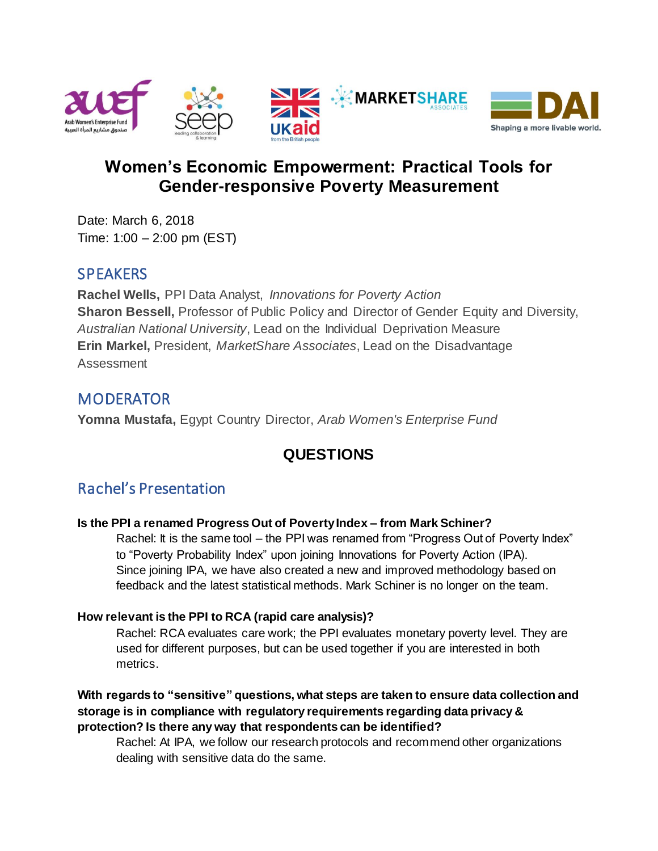

# **Women's Economic Empowerment: Practical Tools for Gender-responsive Poverty Measurement**

Date: March 6, 2018 Time: 1:00 – 2:00 pm (EST)

### **SPEAKERS**

**Rachel Wells,** PPI Data Analyst, *Innovations for Poverty Action* **Sharon Bessell,** Professor of Public Policy and Director of Gender Equity and Diversity, *Australian National University*, Lead on the Individual Deprivation Measure **Erin Markel,** President, *MarketShare Associates*, Lead on the Disadvantage Assessment

## **MODERATOR**

**Yomna Mustafa,** Egypt Country Director, *Arab Women's Enterprise Fund*

## **QUESTIONS**

## Rachel's Presentation

### **Is the PPI a renamed Progress Out of Poverty Index – from Mark Schiner?**

Rachel: It is the same tool – the PPI was renamed from "Progress Out of Poverty Index" to "Poverty Probability Index" upon joining Innovations for Poverty Action (IPA). Since joining IPA, we have also created a new and improved methodology based on feedback and the latest statistical methods. Mark Schiner is no longer on the team.

### **How relevant is the PPI to RCA (rapid care analysis)?**

Rachel: RCA evaluates care work; the PPI evaluates monetary poverty level. They are used for different purposes, but can be used together if you are interested in both metrics.

**With regards to "sensitive" questions, what steps are taken to ensure data collection and storage is in compliance with regulatory requirements regarding data privacy & protection? Is there any way that respondents can be identified?**

Rachel: At IPA, we follow our research protocols and recommend other organizations dealing with sensitive data do the same.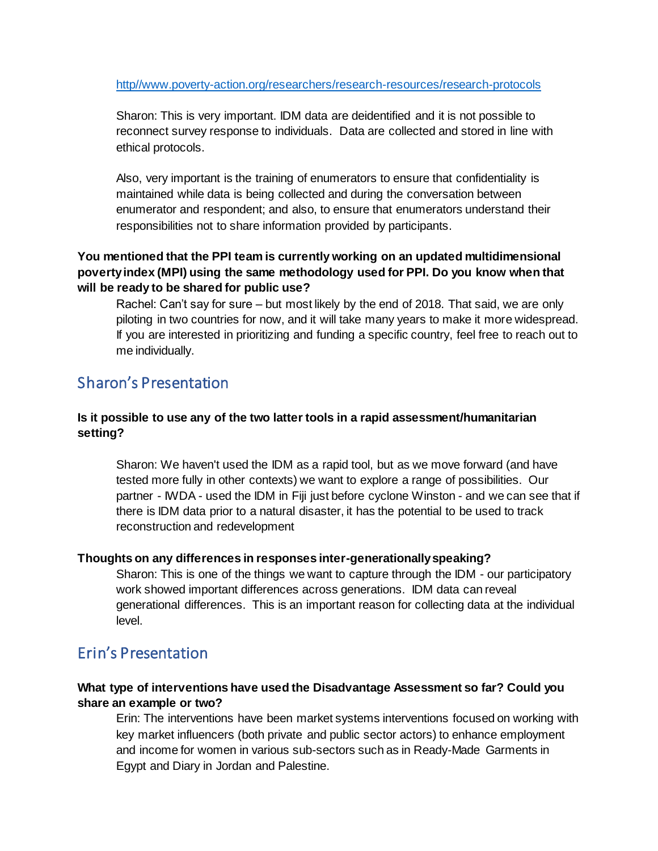[http//www.poverty-action.org/researchers/research-resources/research-protocols](http/www.poverty-action.org/researchers/research-resources/research-protocols)

Sharon: This is very important. IDM data are deidentified and it is not possible to reconnect survey response to individuals. Data are collected and stored in line with ethical protocols.

Also, very important is the training of enumerators to ensure that confidentiality is maintained while data is being collected and during the conversation between enumerator and respondent; and also, to ensure that enumerators understand their responsibilities not to share information provided by participants.

### **You mentioned that the PPI team is currently working on an updated multidimensional poverty index (MPI) using the same methodology used for PPI. Do you know when that will be ready to be shared for public use?**

Rachel: Can't say for sure – but most likely by the end of 2018. That said, we are only piloting in two countries for now, and it will take many years to make it more widespread. If you are interested in prioritizing and funding a specific country, feel free to reach out to me individually.

## Sharon's Presentation

### **Is it possible to use any of the two latter tools in a rapid assessment/humanitarian setting?**

Sharon: We haven't used the IDM as a rapid tool, but as we move forward (and have tested more fully in other contexts) we want to explore a range of possibilities. Our partner - IWDA - used the IDM in Fiji just before cyclone Winston - and we can see that if there is IDM data prior to a natural disaster, it has the potential to be used to track reconstruction and redevelopment

### **Thoughts on any differences in responses inter-generationally speaking?**

Sharon: This is one of the things we want to capture through the IDM - our participatory work showed important differences across generations. IDM data can reveal generational differences. This is an important reason for collecting data at the individual level.

### Erin's Presentation

### **What type of interventions have used the Disadvantage Assessment so far? Could you share an example or two?**

Erin: The interventions have been market systems interventions focused on working with key market influencers (both private and public sector actors) to enhance employment and income for women in various sub-sectors such as in Ready-Made Garments in Egypt and Diary in Jordan and Palestine.